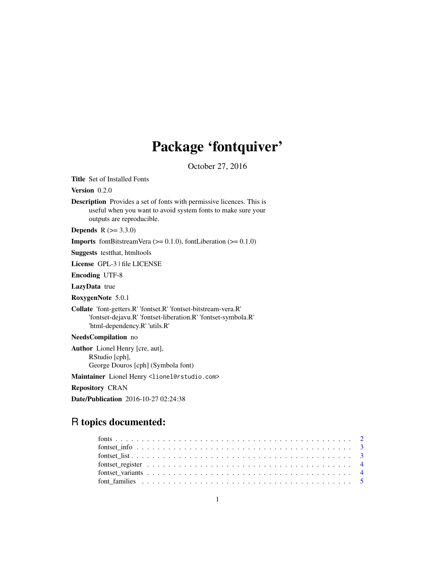# Package 'fontquiver'

October 27, 2016

Title Set of Installed Fonts

Version 0.2.0

Description Provides a set of fonts with permissive licences. This is useful when you want to avoid system fonts to make sure your outputs are reproducible.

**Depends** R  $(>= 3.3.0)$ 

**Imports** fontBitstreamVera ( $>= 0.1.0$ ), fontLiberation ( $>= 0.1.0$ )

Suggests testthat, htmltools

License GPL-3 | file LICENSE

Encoding UTF-8

LazyData true

RoxygenNote 5.0.1

Collate 'font-getters.R' 'fontset.R' 'fontset-bitstream-vera.R' 'fontset-dejavu.R' 'fontset-liberation.R' 'fontset-symbola.R' 'html-dependency.R' 'utils.R'

# NeedsCompilation no

Author Lionel Henry [cre, aut], RStudio [cph], George Douros [cph] (Symbola font)

Maintainer Lionel Henry <lionel@rstudio.com>

Repository CRAN

Date/Publication 2016-10-27 02:24:38

# R topics documented: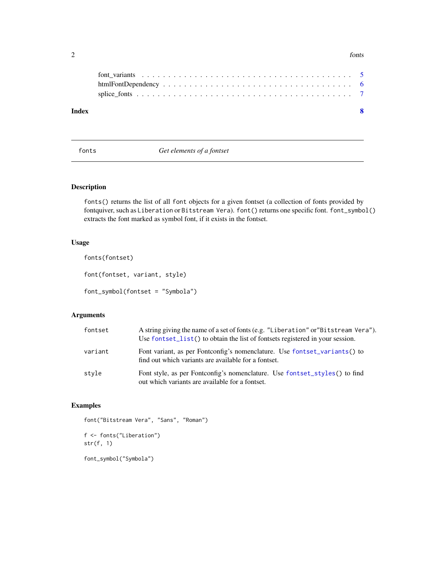#### <span id="page-1-0"></span>2 fonts

| Index |  |
|-------|--|
|       |  |
|       |  |
|       |  |
|       |  |

<span id="page-1-1"></span>fonts *Get elements of a fontset*

# Description

fonts() returns the list of all font objects for a given fontset (a collection of fonts provided by fontquiver, such as Liberation or Bitstream Vera). font() returns one specific font. font\_symbol() extracts the font marked as symbol font, if it exists in the fontset.

# Usage

fonts(fontset)

font(fontset, variant, style)

font\_symbol(fontset = "Symbola")

# Arguments

| fontset | A string giving the name of a set of fonts (e.g. "Liberation" or"Bitstream Vera").<br>Use fontset_list() to obtain the list of fontsets registered in your session. |
|---------|---------------------------------------------------------------------------------------------------------------------------------------------------------------------|
| variant | Font variant, as per Fontconfig's nomenclature. Use fontset_variants() to<br>find out which variants are available for a fontset.                                   |
| style   | Font style, as per Fontconfig's nomenclature. Use fontset_styles() to find<br>out which variants are available for a fontset.                                       |

# Examples

```
font("Bitstream Vera", "Sans", "Roman")
f <- fonts("Liberation")
```
str(f, 1)

font\_symbol("Symbola")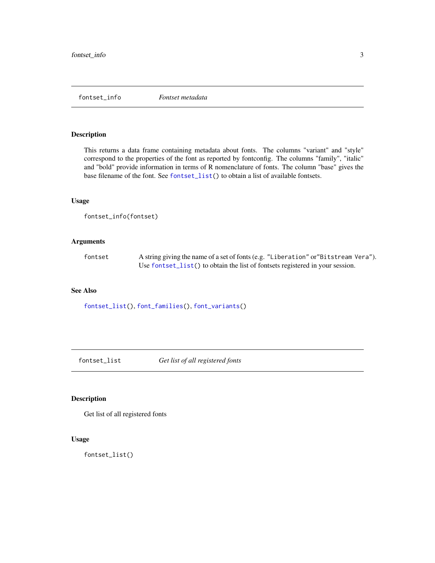<span id="page-2-0"></span>fontset\_info *Fontset metadata*

#### Description

This returns a data frame containing metadata about fonts. The columns "variant" and "style" correspond to the properties of the font as reported by fontconfig. The columns "family", "italic" and "bold" provide information in terms of R nomenclature of fonts. The column "base" gives the base filename of the font. See [fontset\\_list\(](#page-2-1)) to obtain a list of available fontsets.

#### Usage

```
fontset_info(fontset)
```
#### Arguments

fontset A string giving the name of a set of fonts (e.g. "Liberation" or"Bitstream Vera"). Use [fontset\\_list\(](#page-2-1)) to obtain the list of fontsets registered in your session.

# See Also

[fontset\\_list\(](#page-2-1)), [font\\_families\(](#page-4-1)), [font\\_variants\(](#page-4-2))

<span id="page-2-1"></span>fontset\_list *Get list of all registered fonts*

# Description

Get list of all registered fonts

# Usage

fontset\_list()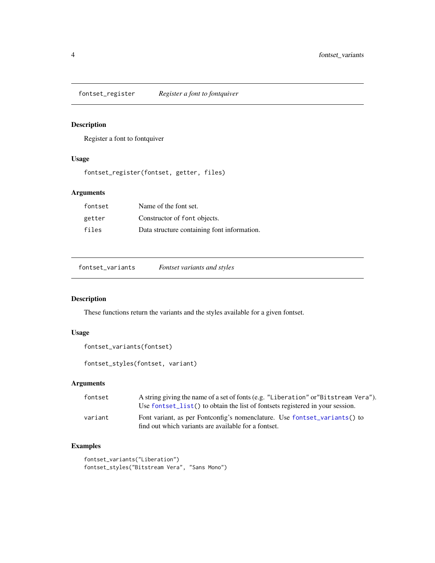<span id="page-3-0"></span>fontset\_register *Register a font to fontquiver*

# Description

Register a font to fontquiver

### Usage

fontset\_register(fontset, getter, files)

# Arguments

| fontset | Name of the font set.                       |
|---------|---------------------------------------------|
| getter  | Constructor of font objects.                |
| files   | Data structure containing font information. |

<span id="page-3-1"></span>fontset\_variants *Fontset variants and styles*

# <span id="page-3-2"></span>Description

These functions return the variants and the styles available for a given fontset.

# Usage

```
fontset_variants(fontset)
```
fontset\_styles(fontset, variant)

# Arguments

| fontset | A string giving the name of a set of fonts (e.g. "Liberation" or "Bitstream Vera").<br>Use fontset_list() to obtain the list of fontsets registered in your session. |
|---------|----------------------------------------------------------------------------------------------------------------------------------------------------------------------|
| variant | Font variant, as per Fontconfig's nomenclature. Use fontset_variants() to<br>find out which variants are available for a fontset.                                    |

# Examples

```
fontset_variants("Liberation")
fontset_styles("Bitstream Vera", "Sans Mono")
```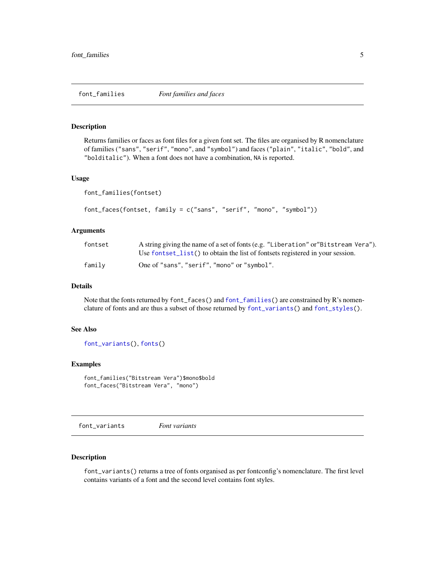<span id="page-4-1"></span><span id="page-4-0"></span>

#### <span id="page-4-4"></span>Description

Returns families or faces as font files for a given font set. The files are organised by R nomenclature of families ("sans", "serif", "mono", and "symbol") and faces ("plain", "italic", "bold", and "bolditalic"). When a font does not have a combination, NA is reported.

#### Usage

```
font_families(fontset)
```

```
font_faces(fontset, family = c("sans", "serif", "mono", "symbol"))
```
#### Arguments

| fontset | A string giving the name of a set of fonts (e.g. "Liberation" or "Bitstream Vera").<br>Use fontset list() to obtain the list of fontsets registered in your session. |
|---------|----------------------------------------------------------------------------------------------------------------------------------------------------------------------|
| family  | One of "sans", "serif", "mono" or "symbol".                                                                                                                          |

### Details

Note that the fonts returned by font\_faces() and [font\\_families\(](#page-4-1)) are constrained by R's nomenclature of fonts and are thus a subset of those returned by [font\\_variants\(](#page-4-2)) and [font\\_styles\(](#page-4-3)).

#### See Also

[font\\_variants\(](#page-4-2)), [fonts\(](#page-1-1))

#### Examples

```
font_families("Bitstream Vera")$mono$bold
font_faces("Bitstream Vera", "mono")
```
<span id="page-4-2"></span>font\_variants *Font variants*

# <span id="page-4-3"></span>Description

font\_variants() returns a tree of fonts organised as per fontconfig's nomenclature. The first level contains variants of a font and the second level contains font styles.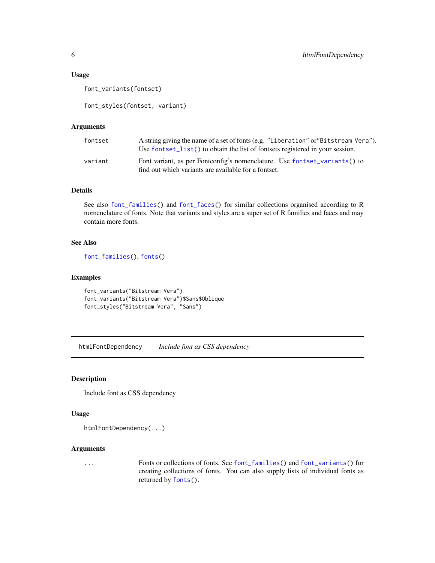#### <span id="page-5-0"></span>Usage

font\_variants(fontset)

font\_styles(fontset, variant)

#### Arguments

| fontset | A string giving the name of a set of fonts (e.g. "Liberation" or "Bitstream Vera").<br>Use fontset_list() to obtain the list of fontsets registered in your session. |
|---------|----------------------------------------------------------------------------------------------------------------------------------------------------------------------|
| variant | Font variant, as per Fontconfig's nomenclature. Use fontset_variants() to<br>find out which variants are available for a fontset.                                    |

#### Details

See also [font\\_families\(](#page-4-1)) and [font\\_faces\(](#page-4-4)) for similar collections organised according to R nomenclature of fonts. Note that variants and styles are a super set of R families and faces and may contain more fonts.

# See Also

[font\\_families\(](#page-4-1)), [fonts\(](#page-1-1))

# Examples

```
font_variants("Bitstream Vera")
font_variants("Bitstream Vera")$Sans$Oblique
font_styles("Bitstream Vera", "Sans")
```
htmlFontDependency *Include font as CSS dependency*

#### Description

Include font as CSS dependency

# Usage

```
htmlFontDependency(...)
```
#### Arguments

... Fonts or collections of fonts. See [font\\_families\(](#page-4-1)) and [font\\_variants\(](#page-4-2)) for creating collections of fonts. You can also supply lists of individual fonts as returned by [fonts\(](#page-1-1)).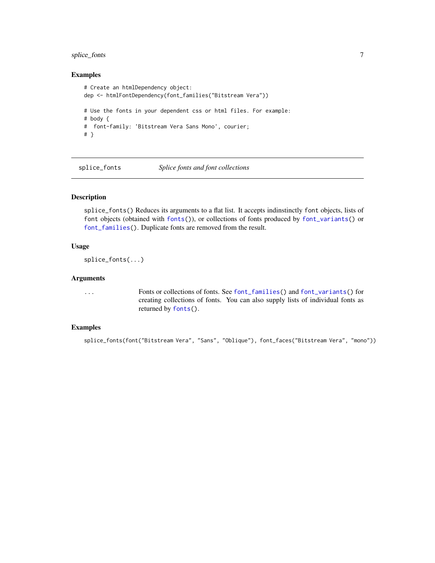# <span id="page-6-0"></span>splice\_fonts 7

#### Examples

```
# Create an htmlDependency object:
dep <- htmlFontDependency(font_families("Bitstream Vera"))
# Use the fonts in your dependent css or html files. For example:
# body {
# font-family: 'Bitstream Vera Sans Mono', courier;
# }
```
splice\_fonts *Splice fonts and font collections*

#### Description

splice\_fonts() Reduces its arguments to a flat list. It accepts indinstinctly font objects, lists of font objects (obtained with [fonts\(](#page-1-1))), or collections of fonts produced by [font\\_variants\(](#page-4-2)) or [font\\_families\(](#page-4-1)). Duplicate fonts are removed from the result.

# Usage

```
splice_fonts(...)
```
#### Arguments

... Fonts or collections of fonts. See [font\\_families\(](#page-4-1)) and [font\\_variants\(](#page-4-2)) for creating collections of fonts. You can also supply lists of individual fonts as returned by [fonts\(](#page-1-1)).

# Examples

splice\_fonts(font("Bitstream Vera", "Sans", "Oblique"), font\_faces("Bitstream Vera", "mono"))